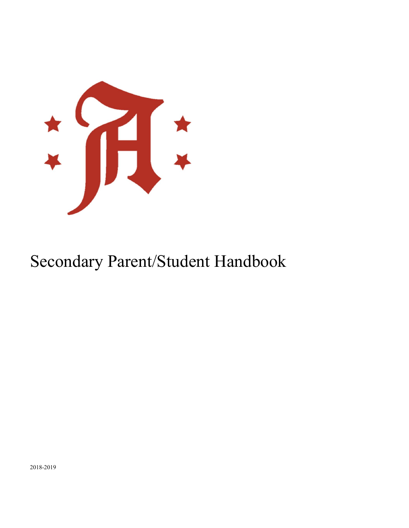

# Secondary Parent/Student Handbook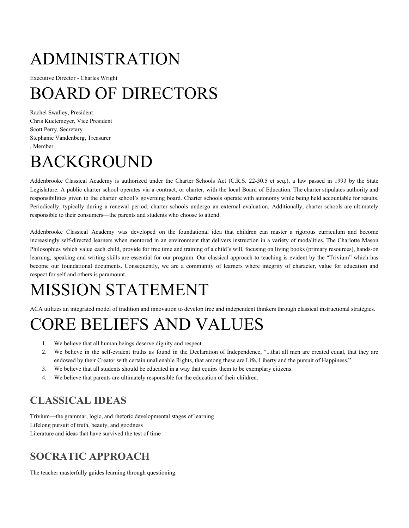# ADMINISTRATION

Executive Director - Charles Wright

# BOARD OF DIRECTORS

Rachel Swalley, President Chris Kuetemeyer, Vice President Scott Perry, Secretary Stephanie Vandenberg, Treasurer , Member

# BACKGROUND

Addenbrooke Classical Academy is authorized under the Charter Schools Act (C.R.S. 22-30.5 et seq.), a law passed in 1993 by the State Legislature. A public charter school operates via a contract, or charter, with the local Board of Education. The charter stipulates authority and responsibilities given to the charter school's governing board. Charter schools operate with autonomy while being held accountable for results. Periodically, typically during a renewal period, charter schools undergo an external evaluation. Additionally, charter schools are ultimately responsible to their consumers—the parents and students who choose to attend.

Addenbrooke Classical Academy was developed on the foundational idea that children can master a rigorous curriculum and become increasingly self-directed learners when mentored in an environment that delivers instruction in a variety of modalities. The Charlotte Mason Philosophies which value each child, provide for free time and training of a child's will, focusing on living books (primary resources), hands-on learning, speaking and writing skills are essential for our program. Our classical approach to teaching is evident by the "Trivium" which has become our foundational documents. Consequently, we are a community of learners where integrity of character, value for education and respect for self and others is paramount.

# MISSION STATEMENT

ACA utilizes an integrated model of tradition and innovation to develop free and independent thinkers through classical instructional strategies.

# CORE BELIEFS AND VALUES

- 1. We believe that all human beings deserve dignity and respect.
- 2. We believe in the self-evident truths as found in the Declaration of Independence, "...that all men are created equal, that they are endowed by their Creator with certain unalienable Rights, that among these are Life, Liberty and the pursuit of Happiness."
- 3. We believe that all students should be educated in a way that equips them to be exemplary citizens.
- 4. We believe that parents are ultimately responsible for the education of their children.

## **CLASSICAL IDEAS**

Trivium—the grammar, logic, and rhetoric developmental stages of learning Lifelong pursuit of truth, beauty, and goodness Literature and ideas that have survived the test of time

## **SOCRATIC APPROACH**

The teacher masterfully guides learning through questioning.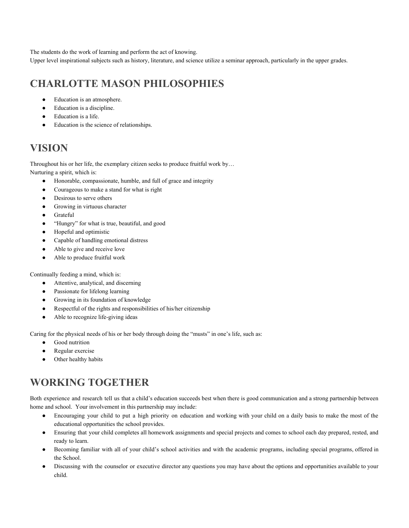The students do the work of learning and perform the act of knowing.

Upper level inspirational subjects such as history, literature, and science utilize a seminar approach, particularly in the upper grades.

## **CHARLOTTE MASON PHILOSOPHIES**

- Education is an atmosphere.
- Education is a discipline.
- Education is a life.
- Education is the science of relationships.

## **VISION**

Throughout his or her life, the exemplary citizen seeks to produce fruitful work by… Nurturing a spirit, which is:

- Honorable, compassionate, humble, and full of grace and integrity
- Courageous to make a stand for what is right
- Desirous to serve others
- Growing in virtuous character
- Grateful
- "Hungry" for what is true, beautiful, and good
- Hopeful and optimistic
- Capable of handling emotional distress
- Able to give and receive love
- Able to produce fruitful work

Continually feeding a mind, which is:

- Attentive, analytical, and discerning
- Passionate for lifelong learning
- Growing in its foundation of knowledge
- Respectful of the rights and responsibilities of his/her citizenship
- Able to recognize life-giving ideas

Caring for the physical needs of his or her body through doing the "musts" in one's life, such as:

- Good nutrition
- Regular exercise
- Other healthy habits

## **WORKING TOGETHER**

Both experience and research tell us that a child's education succeeds best when there is good communication and a strong partnership between home and school. Your involvement in this partnership may include:

- Encouraging your child to put a high priority on education and working with your child on a daily basis to make the most of the educational opportunities the school provides.
- Ensuring that your child completes all homework assignments and special projects and comes to school each day prepared, rested, and ready to learn.
- Becoming familiar with all of your child's school activities and with the academic programs, including special programs, offered in the School.
- Discussing with the counselor or executive director any questions you may have about the options and opportunities available to your child.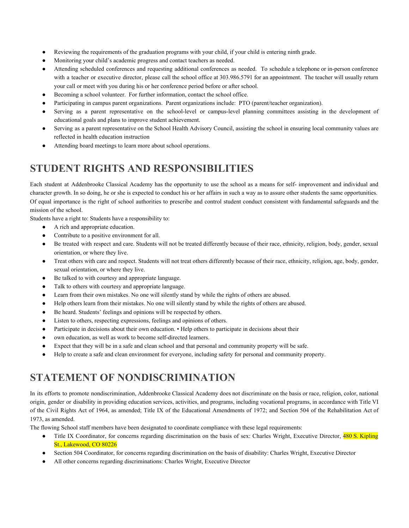- Reviewing the requirements of the graduation programs with your child, if your child is entering ninth grade.
- Monitoring your child's academic progress and contact teachers as needed.
- Attending scheduled conferences and requesting additional conferences as needed. To schedule a telephone or in-person conference with a teacher or executive director, please call the school office at 303.986.5791 for an appointment. The teacher will usually return your call or meet with you during his or her conference period before or after school.
- Becoming a school volunteer. For further information, contact the school office.
- Participating in campus parent organizations. Parent organizations include: PTO (parent/teacher organization).
- Serving as a parent representative on the school-level or campus-level planning committees assisting in the development of educational goals and plans to improve student achievement.
- Serving as a parent representative on the School Health Advisory Council, assisting the school in ensuring local community values are reflected in health education instruction
- Attending board meetings to learn more about school operations.

## **STUDENT RIGHTS AND RESPONSIBILITIES**

Each student at Addenbrooke Classical Academy has the opportunity to use the school as a means for self- improvement and individual and character growth. In so doing, he or she is expected to conduct his or her affairs in such a way as to assure other students the same opportunities. Of equal importance is the right of school authorities to prescribe and control student conduct consistent with fundamental safeguards and the mission of the school.

Students have a right to: Students have a responsibility to:

- A rich and appropriate education.
- Contribute to a positive environment for all.
- Be treated with respect and care. Students will not be treated differently because of their race, ethnicity, religion, body, gender, sexual orientation, or where they live.
- Treat others with care and respect. Students will not treat others differently because of their race, ethnicity, religion, age, body, gender, sexual orientation, or where they live.
- Be talked to with courtesy and appropriate language.
- Talk to others with courtesy and appropriate language.
- Learn from their own mistakes. No one will silently stand by while the rights of others are abused.
- Help others learn from their mistakes. No one will silently stand by while the rights of others are abused.
- Be heard. Students' feelings and opinions will be respected by others.
- Listen to others, respecting expressions, feelings and opinions of others.
- Participate in decisions about their own education. Help others to participate in decisions about their
- own education, as well as work to become self-directed learners.
- Expect that they will be in a safe and clean school and that personal and community property will be safe.
- Help to create a safe and clean environment for everyone, including safety for personal and community property.

## **STATEMENT OF NONDISCRIMINATION**

In its efforts to promote nondiscrimination, Addenbrooke Classical Academy does not discriminate on the basis or race, religion, color, national origin, gender or disability in providing education services, activities, and programs, including vocational programs, in accordance with Title VI of the Civil Rights Act of 1964, as amended; Title IX of the Educational Amendments of 1972; and Section 504 of the Rehabilitation Act of 1973, as amended.

The flowing School staff members have been designated to coordinate compliance with these legal requirements:

- Title IX Coordinator, for concerns regarding discrimination on the basis of sex: Charles Wright, Executive Director, 480 S. Kipling St., Lakewood, CO 80226
- Section 504 Coordinator, for concerns regarding discrimination on the basis of disability: Charles Wright, Executive Director
- All other concerns regarding discriminations: Charles Wright, Executive Director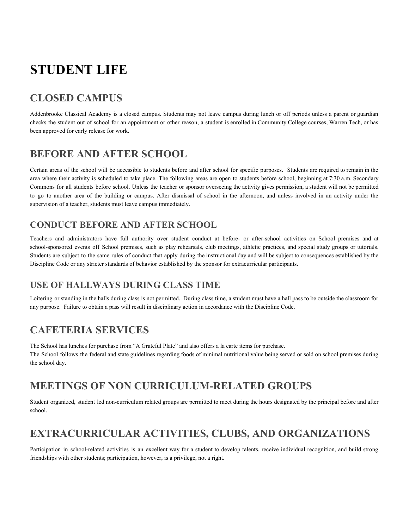## **STUDENT LIFE**

## **CLOSED CAMPUS**

Addenbrooke Classical Academy is a closed campus. Students may not leave campus during lunch or off periods unless a parent or guardian checks the student out of school for an appointment or other reason, a student is enrolled in Community College courses, Warren Tech, or has been approved for early release for work.

## **BEFORE AND AFTER SCHOOL**

Certain areas of the school will be accessible to students before and after school for specific purposes. Students are required to remain in the area where their activity is scheduled to take place. The following areas are open to students before school, beginning at 7:30 a.m. Secondary Commons for all students before school. Unless the teacher or sponsor overseeing the activity gives permission, a student will not be permitted to go to another area of the building or campus. After dismissal of school in the afternoon, and unless involved in an activity under the supervision of a teacher, students must leave campus immediately.

#### **CONDUCT BEFORE AND AFTER SCHOOL**

Teachers and administrators have full authority over student conduct at before- or after-school activities on School premises and at school-sponsored events off School premises, such as play rehearsals, club meetings, athletic practices, and special study groups or tutorials. Students are subject to the same rules of conduct that apply during the instructional day and will be subject to consequences established by the Discipline Code or any stricter standards of behavior established by the sponsor for extracurricular participants.

#### **USE OF HALLWAYS DURING CLASS TIME**

Loitering or standing in the halls during class is not permitted. During class time, a student must have a hall pass to be outside the classroom for any purpose. Failure to obtain a pass will result in disciplinary action in accordance with the Discipline Code.

## **CAFETERIA SERVICES**

The School has lunches for purchase from "A Grateful Plate" and also offers a la carte items for purchase. The School follows the federal and state guidelines regarding foods of minimal nutritional value being served or sold on school premises during the school day.

## **MEETINGS OF NON CURRICULUM-RELATED GROUPS**

Student organized, student led non-curriculum related groups are permitted to meet during the hours designated by the principal before and after school.

## **EXTRACURRICULAR ACTIVITIES, CLUBS, AND ORGANIZATIONS**

Participation in school-related activities is an excellent way for a student to develop talents, receive individual recognition, and build strong friendships with other students; participation, however, is a privilege, not a right.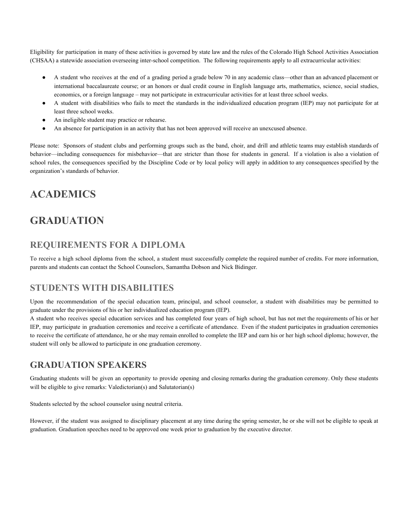Eligibility for participation in many of these activities is governed by state law and the rules of the Colorado High School Activities Association (CHSAA) a statewide association overseeing inter-school competition. The following requirements apply to all extracurricular activities:

- A student who receives at the end of a grading period a grade below 70 in any academic class—other than an advanced placement or international baccalaureate course; or an honors or dual credit course in English language arts, mathematics, science, social studies, economics, or a foreign language – may not participate in extracurricular activities for at least three school weeks.
- A student with disabilities who fails to meet the standards in the individualized education program (IEP) may not participate for at least three school weeks.
- An ineligible student may practice or rehearse.
- An absence for participation in an activity that has not been approved will receive an unexcused absence.

Please note: Sponsors of student clubs and performing groups such as the band, choir, and drill and athletic teams may establish standards of behavior—including consequences for misbehavior—that are stricter than those for students in general. If a violation is also a violation of school rules, the consequences specified by the Discipline Code or by local policy will apply in addition to any consequences specified by the organization's standards of behavior.

## **ACADEMICS**

## **GRADUATION**

#### **REQUIREMENTS FOR A DIPLOMA**

To receive a high school diploma from the school, a student must successfully complete the required number of credits. For more information, parents and students can contact the School Counselors, Samantha Dobson and Nick Bidinger.

#### **STUDENTS WITH DISABILITIES**

Upon the recommendation of the special education team, principal, and school counselor, a student with disabilities may be permitted to graduate under the provisions of his or her individualized education program (IEP).

A student who receives special education services and has completed four years of high school, but has not met the requirements of his or her IEP, may participate in graduation ceremonies and receive a certificate of attendance. Even if the student participates in graduation ceremonies to receive the certificate of attendance, he or she may remain enrolled to complete the IEP and earn his or her high school diploma; however, the student will only be allowed to participate in one graduation ceremony.

#### **GRADUATION SPEAKERS**

Graduating students will be given an opportunity to provide opening and closing remarks during the graduation ceremony. Only these students will be eligible to give remarks: Valedictorian(s) and Salutatorian(s)

Students selected by the school counselor using neutral criteria.

However, if the student was assigned to disciplinary placement at any time during the spring semester, he or she will not be eligible to speak at graduation. Graduation speeches need to be approved one week prior to graduation by the executive director.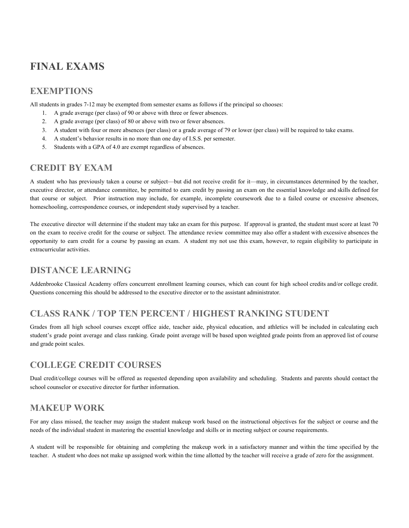## **FINAL EXAMS**

#### **EXEMPTIONS**

All students in grades 7-12 may be exempted from semester exams as follows if the principal so chooses:

- 1. A grade average (per class) of 90 or above with three or fewer absences.
- 2. A grade average (per class) of 80 or above with two or fewer absences.
- 3. A student with four or more absences (per class) or a grade average of 79 or lower (per class) will be required to take exams.
- 4. A student's behavior results in no more than one day of I.S.S. per semester.
- 5. Students with a GPA of 4.0 are exempt regardless of absences.

#### **CREDIT BY EXAM**

A student who has previously taken a course or subject—but did not receive credit for it—may, in circumstances determined by the teacher, executive director, or attendance committee, be permitted to earn credit by passing an exam on the essential knowledge and skills defined for that course or subject. Prior instruction may include, for example, incomplete coursework due to a failed course or excessive absences, homeschooling, correspondence courses, or independent study supervised by a teacher.

The executive director will determine if the student may take an exam for this purpose. If approval is granted, the student must score at least 70 on the exam to receive credit for the course or subject. The attendance review committee may also offer a student with excessive absences the opportunity to earn credit for a course by passing an exam. A student my not use this exam, however, to regain eligibility to participate in extracurricular activities.

#### **DISTANCE LEARNING**

Addenbrooke Classical Academy offers concurrent enrollment learning courses, which can count for high school credits and/or college credit. Questions concerning this should be addressed to the executive director or to the assistant administrator.

#### **CLASS RANK / TOP TEN PERCENT / HIGHEST RANKING STUDENT**

Grades from all high school courses except office aide, teacher aide, physical education, and athletics will be included in calculating each student's grade point average and class ranking. Grade point average will be based upon weighted grade points from an approved list of course and grade point scales.

#### **COLLEGE CREDIT COURSES**

Dual credit/college courses will be offered as requested depending upon availability and scheduling. Students and parents should contact the school counselor or executive director for further information.

#### **MAKEUP WORK**

For any class missed, the teacher may assign the student makeup work based on the instructional objectives for the subject or course and the needs of the individual student in mastering the essential knowledge and skills or in meeting subject or course requirements.

A student will be responsible for obtaining and completing the makeup work in a satisfactory manner and within the time specified by the teacher. A student who does not make up assigned work within the time allotted by the teacher will receive a grade of zero for the assignment.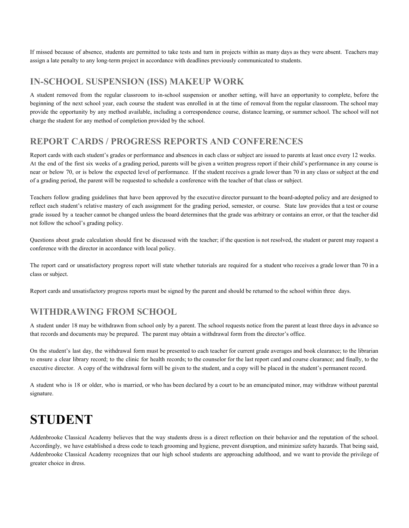If missed because of absence, students are permitted to take tests and turn in projects within as many days as they were absent. Teachers may assign a late penalty to any long-term project in accordance with deadlines previously communicated to students.

#### **IN-SCHOOL SUSPENSION (ISS) MAKEUP WORK**

A student removed from the regular classroom to in-school suspension or another setting, will have an opportunity to complete, before the beginning of the next school year, each course the student was enrolled in at the time of removal from the regular classroom. The school may provide the opportunity by any method available, including a correspondence course, distance learning, or summer school. The school will not charge the student for any method of completion provided by the school.

#### **REPORT CARDS / PROGRESS REPORTS AND CONFERENCES**

Report cards with each student's grades or performance and absences in each class or subject are issued to parents at least once every 12 weeks. At the end of the first six weeks of a grading period, parents will be given a written progress report if their child's performance in any course is near or below 70, or is below the expected level of performance. If the student receives a grade lower than 70 in any class or subject at the end of a grading period, the parent will be requested to schedule a conference with the teacher of that class or subject.

Teachers follow grading guidelines that have been approved by the executive director pursuant to the board-adopted policy and are designed to reflect each student's relative mastery of each assignment for the grading period, semester, or course. State law provides that a test or course grade issued by a teacher cannot be changed unless the board determines that the grade was arbitrary or contains an error, or that the teacher did not follow the school's grading policy.

Questions about grade calculation should first be discussed with the teacher; if the question is not resolved, the student or parent may request a conference with the director in accordance with local policy.

The report card or unsatisfactory progress report will state whether tutorials are required for a student who receives a grade lower than 70 in a class or subject.

Report cards and unsatisfactory progress reports must be signed by the parent and should be returned to the school within three days.

#### **WITHDRAWING FROM SCHOOL**

A student under 18 may be withdrawn from school only by a parent. The school requests notice from the parent at least three days in advance so that records and documents may be prepared. The parent may obtain a withdrawal form from the director's office.

On the student's last day, the withdrawal form must be presented to each teacher for current grade averages and book clearance; to the librarian to ensure a clear library record; to the clinic for health records; to the counselor for the last report card and course clearance; and finally, to the executive director. A copy of the withdrawal form will be given to the student, and a copy will be placed in the student's permanent record.

A student who is 18 or older, who is married, or who has been declared by a court to be an emancipated minor, may withdraw without parental signature.

## **STUDENT**

Addenbrooke Classical Academy believes that the way students dress is a direct reflection on their behavior and the reputation of the school. Accordingly, we have established a dress code to teach grooming and hygiene, prevent disruption, and minimize safety hazards. That being said, Addenbrooke Classical Academy recognizes that our high school students are approaching adulthood, and we want to provide the privilege of greater choice in dress.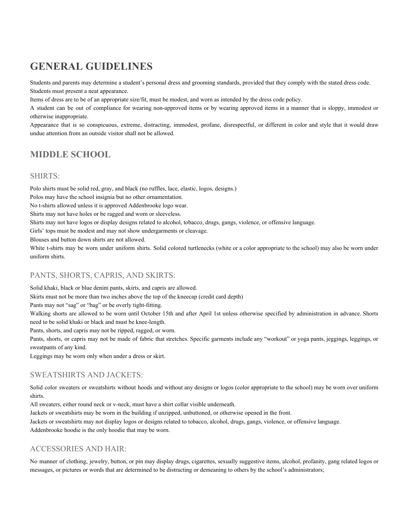## **GENERAL GUIDELINES**

Students and parents may determine a student's personal dress and grooming standards, provided that they comply with the stated dress code. Students must present a neat appearance.

Items of dress are to be of an appropriate size/fit, must be modest, and worn as intended by the dress code policy.

A student can be out of compliance for wearing non-approved items or by wearing approved items in a manner that is sloppy, immodest or otherwise inappropriate.

Appearance that is so conspicuous, extreme, distracting, immodest, profane, disrespectful, or different in color and style that it would draw undue attention from an outside visitor shall not be allowed.

#### **MIDDLE SCHOOL**

#### SHIRTS:

Polo shirts must be solid red, gray, and black (no ruffles, lace, elastic, logos, designs.) Polos may have the school insignia but no other ornamentation. No t-shirts allowed unless it is approved Addenbrooke logo wear. Shirts may not have holes or be ragged and worn or sleeveless. Shirts may not have logos or display designs related to alcohol, tobacco, drugs, gangs, violence, or offensive language. Girls' tops must be modest and may not show undergarments or cleavage.

Blouses and button down shirts are not allowed.

White t-shirts may be worn under uniform shirts. Solid colored turtlenecks (white or a color appropriate to the school) may also be worn under uniform shirts.

#### PANTS, SHORTS, CAPRIS, AND SKIRTS:

Solid khaki, black or blue denim pants, skirts, and capris are allowed.

Skirts must not be more than two inches above the top of the kneecap (credit card depth)

Pants may not "sag" or "bag" or be overly tight-fitting.

Walking shorts are allowed to be worn until October 15th and after April 1st unless otherwise specified by administration in advance. Shorts need to be solid khaki or black and must be knee-length.

Pants, shorts, and capris may not be ripped, ragged, or worn.

Pants, shorts, or capris may not be made of fabric that stretches. Specific garments include any "workout" or yoga pants, jeggings, leggings, or sweatpants of any kind.

Leggings may be worn only when under a dress or skirt.

#### SWEATSHIRTS AND JACKETS:

Solid color sweaters or sweatshirts without hoods and without any designs or logos (color appropriate to the school) may be worn over uniform shirts.

All sweaters, either round neck or v-neck, must have a shirt collar visible underneath.

Jackets or sweatshirts may be worn in the building if unzipped, unbuttoned, or otherwise opened in the front.

Jackets or sweatshirts may not display logos or designs related to tobacco, alcohol, drugs, gangs, violence, or offensive language.

Addenbrooke hoodie is the only hoodie that may be worn.

#### ACCESSORIES AND HAIR:

No manner of clothing, jewelry, button, or pin may display drugs, cigarettes, sexually suggestive items, alcohol, profanity, gang related logos or messages, or pictures or words that are determined to be distracting or demeaning to others by the school's administrators;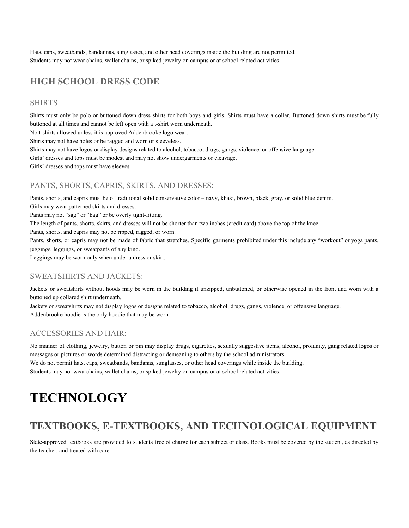Hats, caps, sweatbands, bandannas, sunglasses, and other head coverings inside the building are not permitted; Students may not wear chains, wallet chains, or spiked jewelry on campus or at school related activities

#### **HIGH SCHOOL DRESS CODE**

#### SHIRTS

Shirts must only be polo or buttoned down dress shirts for both boys and girls. Shirts must have a collar. Buttoned down shirts must be fully buttoned at all times and cannot be left open with a t-shirt worn underneath.

No t-shirts allowed unless it is approved Addenbrooke logo wear.

Shirts may not have holes or be ragged and worn or sleeveless.

Shirts may not have logos or display designs related to alcohol, tobacco, drugs, gangs, violence, or offensive language.

Girls' dresses and tops must be modest and may not show undergarments or cleavage.

Girls' dresses and tops must have sleeves.

#### PANTS, SHORTS, CAPRIS, SKIRTS, AND DRESSES:

Pants, shorts, and capris must be of traditional solid conservative color – navy, khaki, brown, black, gray, or solid blue denim.

Girls may wear patterned skirts and dresses.

Pants may not "sag" or "bag" or be overly tight-fitting.

The length of pants, shorts, skirts, and dresses will not be shorter than two inches (credit card) above the top of the knee.

Pants, shorts, and capris may not be ripped, ragged, or worn.

Pants, shorts, or capris may not be made of fabric that stretches. Specific garments prohibited under this include any "workout" or yoga pants, jeggings, leggings, or sweatpants of any kind.

Leggings may be worn only when under a dress or skirt.

#### SWEATSHIRTS AND JACKETS:

Jackets or sweatshirts without hoods may be worn in the building if unzipped, unbuttoned, or otherwise opened in the front and worn with a buttoned up collared shirt underneath.

Jackets or sweatshirts may not display logos or designs related to tobacco, alcohol, drugs, gangs, violence, or offensive language. Addenbrooke hoodie is the only hoodie that may be worn.

#### ACCESSORIES AND HAIR:

No manner of clothing, jewelry, button or pin may display drugs, cigarettes, sexually suggestive items, alcohol, profanity, gang related logos or messages or pictures or words determined distracting or demeaning to others by the school administrators. We do not permit hats, caps, sweatbands, bandanas, sunglasses, or other head coverings while inside the building. Students may not wear chains, wallet chains, or spiked jewelry on campus or at school related activities.

## **TECHNOLOGY**

## **TEXTBOOKS, E-TEXTBOOKS, AND TECHNOLOGICAL EQUIPMENT**

State-approved textbooks are provided to students free of charge for each subject or class. Books must be covered by the student, as directed by the teacher, and treated with care.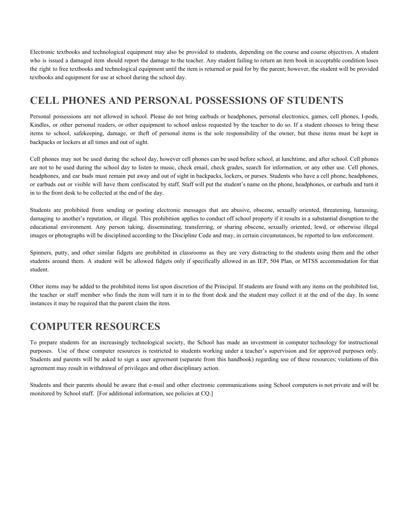Electronic textbooks and technological equipment may also be provided to students, depending on the course and course objectives. A student who is issued a damaged item should report the damage to the teacher. Any student failing to return an item book in acceptable condition loses the right to free textbooks and technological equipment until the item is returned or paid for by the parent; however, the student will be provided textbooks and equipment for use at school during the school day.

## **CELL PHONES AND PERSONAL POSSESSIONS OF STUDENTS**

Personal possessions are not allowed in school. Please do not bring earbuds or headphones, personal electronics, games, cell phones, I-pods, Kindles, or other personal readers, or other equipment to school unless requested by the teacher to do so. If a student chooses to bring these items to school, safekeeping, damage, or theft of personal items is the sole responsibility of the owner, but these items must be kept in backpacks or lockers at all times and out of sight.

Cell phones may not be used during the school day, however cell phones can be used before school, at lunchtime, and after school. Cell phones are not to be used during the school day to listen to music, check email, check grades, search for information, or any other use. Cell phones, headphones, and ear buds must remain put away and out of sight in backpacks, lockers, or purses. Students who have a cell phone, headphones, or earbuds out or visible will have them confiscated by staff. Staff will put the student's name on the phone, headphones, or earbuds and turn it in to the front desk to be collected at the end of the day.

Students are prohibited from sending or posting electronic messages that are abusive, obscene, sexually oriented, threatening, harassing, damaging to another's reputation, or illegal. This prohibition applies to conduct off school property if it results in a substantial disruption to the educational environment. Any person taking, disseminating, transferring, or sharing obscene, sexually oriented, lewd, or otherwise illegal images or photographs will be disciplined according to the Discipline Code and may, in certain circumstances, be reported to law enforcement.

Spinners, putty, and other similar fidgets are prohibited in classrooms as they are very distracting to the students using them and the other students around them. A student will be allowed fidgets only if specifically allowed in an IEP, 504 Plan, or MTSS accommodation for that student.

Other items may be added to the prohibited items list upon discretion of the Principal. If students are found with any items on the prohibited list, the teacher or staff member who finds the item will turn it in to the front desk and the student may collect it at the end of the day. In some instances it may be required that the parent claim the item.

## **COMPUTER RESOURCES**

To prepare students for an increasingly technological society, the School has made an investment in computer technology for instructional purposes. Use of these computer resources is restricted to students working under a teacher's supervision and for approved purposes only. Students and parents will be asked to sign a user agreement (separate from this handbook) regarding use of these resources; violations of this agreement may result in withdrawal of privileges and other disciplinary action.

Students and their parents should be aware that e-mail and other electronic communications using School computers is not private and will be monitored by School staff. [For additional information, see policies at CQ.]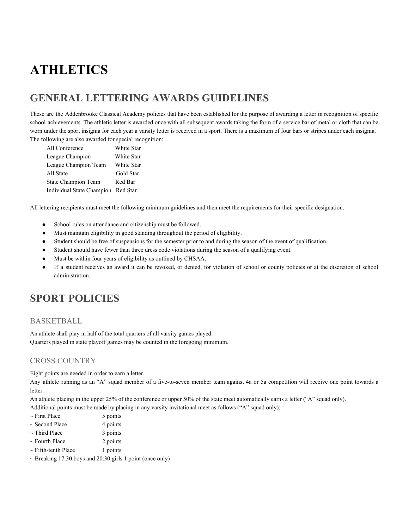## **ATHLETICS**

## **GENERAL LETTERING AWARDS GUIDELINES**

These are the Addenbrooke Classical Academy policies that have been established for the purpose of awarding a letter in recognition of specific school achievements. The athletic letter is awarded once with all subsequent awards taking the form of a service bar of metal or cloth that can be worn under the sport insignia for each year a varsity letter is received in a sport. There is a maximum of four bars or stripes under each insignia. The following are also awarded for special recognition:

| All Conference                     | White Star |
|------------------------------------|------------|
| League Champion                    | White Star |
| League Champion Team               | White Star |
| All State                          | Gold Star  |
| State Champion Team                | Red Bar    |
| Individual State Champion Red Star |            |

All lettering recipients must meet the following minimum guidelines and then meet the requirements for their specific designation.

- School rules on attendance and citizenship must be followed.
- Must maintain eligibility in good standing throughout the period of eligibility.
- Student should be free of suspensions for the semester prior to and during the season of the event of qualification.
- Student should have fewer than three dress code violations during the season of a qualifying event.
- Must be within four years of eligibility as outlined by CHSAA.
- If a student receives an award it can be revoked, or denied, for violation of school or county policies or at the discretion of school administration.

### **SPORT POLICIES**

#### BASKETBALL

An athlete shall play in half of the total quarters of all varsity games played. Quarters played in state playoff games may be counted in the foregoing minimum.

#### CROSS COUNTRY

Eight points are needed in order to earn a letter.

Any athlete running as an "A" squad member of a five-to-seven member team against 4a or 5a competition will receive one point towards a letter.

An athlete placing in the upper 25% of the conference or upper 50% of the state meet automatically earns a letter ("A" squad only).

Additional points must be made by placing in any varsity invitational meet as follows ("A" squad only):

- $\sim$  First Place 5 points
- $\sim$  Second Place 4 points
- $\sim$  Third Place 3 points
- $\sim$  Fourth Place 2 points
- $\sim$  Fifth-tenth Place 1 points
- $\sim$  Breaking 17:30 boys and 20:30 girls 1 point (once only)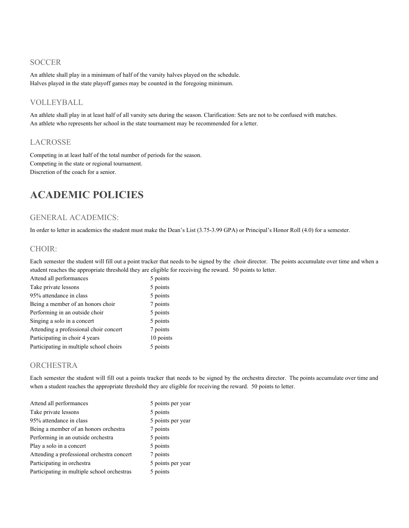#### **SOCCER**

An athlete shall play in a minimum of half of the varsity halves played on the schedule. Halves played in the state playoff games may be counted in the foregoing minimum.

#### VOLLEYBALL

An athlete shall play in at least half of all varsity sets during the season. Clarification: Sets are not to be confused with matches. An athlete who represents her school in the state tournament may be recommended for a letter.

#### LACROSSE

Competing in at least half of the total number of periods for the season. Competing in the state or regional tournament. Discretion of the coach for a senior.

## **ACADEMIC POLICIES**

#### GENERAL ACADEMICS:

In order to letter in academics the student must make the Dean's List (3.75-3.99 GPA) or Principal's Honor Roll (4.0) for a semester.

#### CHOIR:

Each semester the student will fill out a point tracker that needs to be signed by the choir director. The points accumulate over time and when a student reaches the appropriate threshold they are eligible for receiving the reward. 50 points to letter.

| Attend all performances                 | 5 points  |
|-----------------------------------------|-----------|
| Take private lessons                    | 5 points  |
| 95% attendance in class                 | 5 points  |
| Being a member of an honors choir       | 7 points  |
| Performing in an outside choir          | 5 points  |
| Singing a solo in a concert             | 5 points  |
| Attending a professional choir concert  | 7 points  |
| Participating in choir 4 years          | 10 points |
| Participating in multiple school choirs | 5 points  |

#### **ORCHESTRA**

Each semester the student will fill out a points tracker that needs to be signed by the orchestra director. The points accumulate over time and when a student reaches the appropriate threshold they are eligible for receiving the reward. 50 points to letter.

| Attend all performances                     | 5 points per year |
|---------------------------------------------|-------------------|
| Take private lessons                        | 5 points          |
| 95% attendance in class                     | 5 points per year |
| Being a member of an honors orchestra       | 7 points          |
| Performing in an outside orchestra          | 5 points          |
| Play a solo in a concert                    | 5 points          |
| Attending a professional orchestra concert  | 7 points          |
| Participating in orchestra                  | 5 points per year |
| Participating in multiple school orchestras | 5 points          |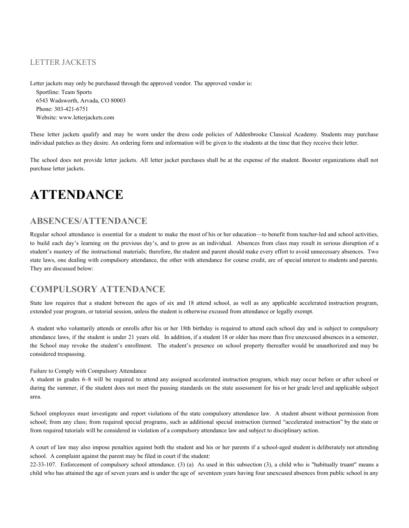#### LETTER JACKETS

Letter jackets may only be purchased through the approved vendor. The approved vendor is: Sportline: Team Sports 6543 Wadsworth, Arvada, CO 80003 Phone: 303-421-6751 Website: www.letterjackets.com

These letter jackets qualify and may be worn under the dress code policies of Addenbrooke Classical Academy. Students may purchase individual patches as they desire. An ordering form and information will be given to the students at the time that they receive their letter.

The school does not provide letter jackets. All letter jacket purchases shall be at the expense of the student. Booster organizations shall not purchase letter jackets.

## **ATTENDANCE**

#### **ABSENCES/ATTENDANCE**

Regular school attendance is essential for a student to make the most of his or her education—to benefit from teacher-led and school activities, to build each day's learning on the previous day's, and to grow as an individual. Absences from class may result in serious disruption of a student's mastery of the instructional materials; therefore, the student and parent should make every effort to avoid unnecessary absences. Two state laws, one dealing with compulsory attendance, the other with attendance for course credit, are of special interest to students and parents. They are discussed below:

#### **COMPULSORY ATTENDANCE**

State law requires that a student between the ages of six and 18 attend school, as well as any applicable accelerated instruction program, extended year program, or tutorial session, unless the student is otherwise excused from attendance or legally exempt.

A student who voluntarily attends or enrolls after his or her 18th birthday is required to attend each school day and is subject to compulsory attendance laws, if the student is under 21 years old. In addition, if a student 18 or older has more than five unexcused absences in a semester, the School may revoke the student's enrollment. The student's presence on school property thereafter would be unauthorized and may be considered trespassing.

#### Failure to Comply with Compulsory Attendance

A student in grades 6–8 will be required to attend any assigned accelerated instruction program, which may occur before or after school or during the summer, if the student does not meet the passing standards on the state assessment for his or her grade level and applicable subject area.

School employees must investigate and report violations of the state compulsory attendance law. A student absent without permission from school; from any class; from required special programs, such as additional special instruction (termed "accelerated instruction" by the state or from required tutorials will be considered in violation of a compulsory attendance law and subject to disciplinary action.

A court of law may also impose penalties against both the student and his or her parents if a school-aged student is deliberately not attending school. A complaint against the parent may be filed in court if the student:

22-33-107. Enforcement of compulsory school attendance. (3) (a) As used in this subsection (3), a child who is "habitually truant" means a child who has attained the age of seven years and is under the age of seventeen years having four unexcused absences from public school in any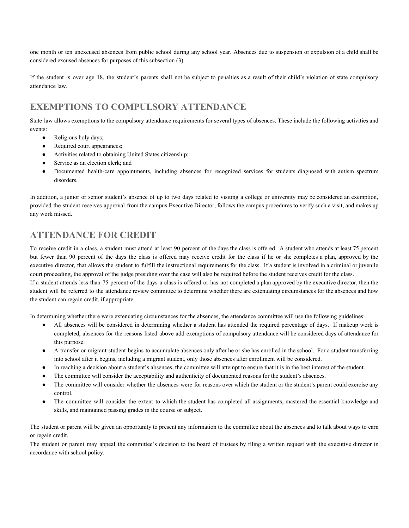one month or ten unexcused absences from public school during any school year. Absences due to suspension or expulsion of a child shall be considered excused absences for purposes of this subsection (3).

If the student is over age 18, the student's parents shall not be subject to penalties as a result of their child's violation of state compulsory attendance law.

#### **EXEMPTIONS TO COMPULSORY ATTENDANCE**

State law allows exemptions to the compulsory attendance requirements for several types of absences. These include the following activities and events:

- Religious holy days;
- Required court appearances;
- Activities related to obtaining United States citizenship;
- Service as an election clerk; and
- Documented health-care appointments, including absences for recognized services for students diagnosed with autism spectrum disorders.

In addition, a junior or senior student's absence of up to two days related to visiting a college or university may be considered an exemption, provided the student receives approval from the campus Executive Director, follows the campus procedures to verify such a visit, and makes up any work missed.

#### **ATTENDANCE FOR CREDIT**

To receive credit in a class, a student must attend at least 90 percent of the days the class is offered. A student who attends at least 75 percent but fewer than 90 percent of the days the class is offered may receive credit for the class if he or she completes a plan, approved by the executive director, that allows the student to fulfill the instructional requirements for the class. If a student is involved in a criminal or juvenile court proceeding, the approval of the judge presiding over the case will also be required before the student receives credit for the class. If a student attends less than 75 percent of the days a class is offered or has not completed a plan approved by the executive director, then the student will be referred to the attendance review committee to determine whether there are extenuating circumstances for the absences and how the student can regain credit, if appropriate.

In determining whether there were extenuating circumstances for the absences, the attendance committee will use the following guidelines:

- All absences will be considered in determining whether a student has attended the required percentage of days. If makeup work is completed, absences for the reasons listed above add exemptions of compulsory attendance will be considered days of attendance for this purpose.
- A transfer or migrant student begins to accumulate absences only after he or she has enrolled in the school. For a student transferring into school after it begins, including a migrant student, only those absences after enrollment will be considered.
- In reaching a decision about a student's absences, the committee will attempt to ensure that it is in the best interest of the student.
- The committee will consider the acceptability and authenticity of documented reasons for the student's absences.
- The committee will consider whether the absences were for reasons over which the student or the student's parent could exercise any control.
- The committee will consider the extent to which the student has completed all assignments, mastered the essential knowledge and skills, and maintained passing grades in the course or subject.

The student or parent will be given an opportunity to present any information to the committee about the absences and to talk about ways to earn or regain credit.

The student or parent may appeal the committee's decision to the board of trustees by filing a written request with the executive director in accordance with school policy.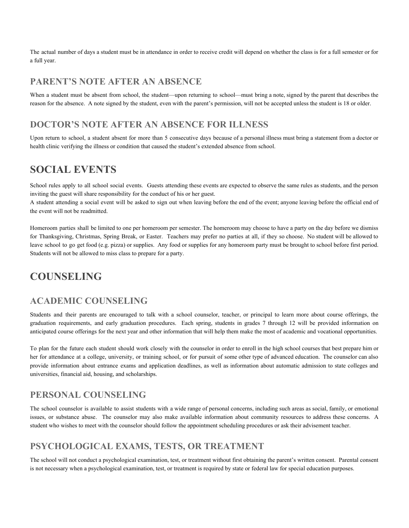The actual number of days a student must be in attendance in order to receive credit will depend on whether the class is for a full semester or for a full year.

#### **PARENT'S NOTE AFTER AN ABSENCE**

When a student must be absent from school, the student—upon returning to school—must bring a note, signed by the parent that describes the reason for the absence. A note signed by the student, even with the parent's permission, will not be accepted unless the student is 18 or older.

#### **DOCTOR'S NOTE AFTER AN ABSENCE FOR ILLNESS**

Upon return to school, a student absent for more than 5 consecutive days because of a personal illness must bring a statement from a doctor or health clinic verifying the illness or condition that caused the student's extended absence from school.

## **SOCIAL EVENTS**

School rules apply to all school social events. Guests attending these events are expected to observe the same rules as students, and the person inviting the guest will share responsibility for the conduct of his or her guest.

A student attending a social event will be asked to sign out when leaving before the end of the event; anyone leaving before the official end of the event will not be readmitted.

Homeroom parties shall be limited to one per homeroom per semester. The homeroom may choose to have a party on the day before we dismiss for Thanksgiving, Christmas, Spring Break, or Easter. Teachers may prefer no parties at all, if they so choose. No student will be allowed to leave school to go get food (e.g. pizza) or supplies. Any food or supplies for any homeroom party must be brought to school before first period. Students will not be allowed to miss class to prepare for a party.

## **COUNSELING**

#### **ACADEMIC COUNSELING**

Students and their parents are encouraged to talk with a school counselor, teacher, or principal to learn more about course offerings, the graduation requirements, and early graduation procedures. Each spring, students in grades 7 through 12 will be provided information on anticipated course offerings for the next year and other information that will help them make the most of academic and vocational opportunities.

To plan for the future each student should work closely with the counselor in order to enroll in the high school courses that best prepare him or her for attendance at a college, university, or training school, or for pursuit of some other type of advanced education. The counselor can also provide information about entrance exams and application deadlines, as well as information about automatic admission to state colleges and universities, financial aid, housing, and scholarships.

#### **PERSONAL COUNSELING**

The school counselor is available to assist students with a wide range of personal concerns, including such areas as social, family, or emotional issues, or substance abuse. The counselor may also make available information about community resources to address these concerns. A student who wishes to meet with the counselor should follow the appointment scheduling procedures or ask their advisement teacher.

#### **PSYCHOLOGICAL EXAMS, TESTS, OR TREATMENT**

The school will not conduct a psychological examination, test, or treatment without first obtaining the parent's written consent. Parental consent is not necessary when a psychological examination, test, or treatment is required by state or federal law for special education purposes.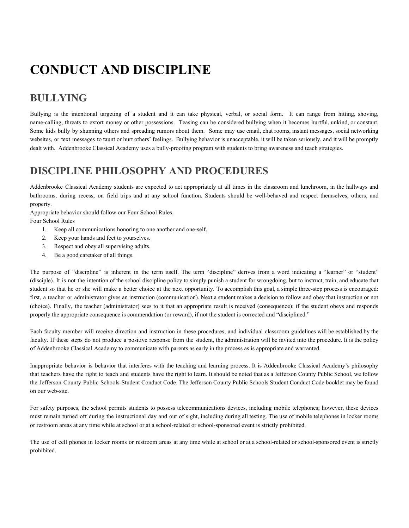## **CONDUCT AND DISCIPLINE**

## **BULLYING**

Bullying is the intentional targeting of a student and it can take physical, verbal, or social form. It can range from hitting, shoving, name-calling, threats to extort money or other possessions. Teasing can be considered bullying when it becomes hurtful, unkind, or constant. Some kids bully by shunning others and spreading rumors about them. Some may use email, chat rooms, instant messages, social networking websites, or text messages to taunt or hurt others' feelings. Bullying behavior is unacceptable, it will be taken seriously, and it will be promptly dealt with. Addenbrooke Classical Academy uses a bully-proofing program with students to bring awareness and teach strategies.

## **DISCIPLINE PHILOSOPHY AND PROCEDURES**

Addenbrooke Classical Academy students are expected to act appropriately at all times in the classroom and lunchroom, in the hallways and bathrooms, during recess, on field trips and at any school function. Students should be well-behaved and respect themselves, others, and property.

Appropriate behavior should follow our Four School Rules.

Four School Rules

- 1. Keep all communications honoring to one another and one-self.
- 2. Keep your hands and feet to yourselves.
- 3. Respect and obey all supervising adults.
- 4. Be a good caretaker of all things.

The purpose of "discipline" is inherent in the term itself. The term "discipline" derives from a word indicating a "learner" or "student" (disciple). It is not the intention of the school discipline policy to simply punish a student for wrongdoing, but to instruct, train, and educate that student so that he or she will make a better choice at the next opportunity. To accomplish this goal, a simple three-step process is encouraged: first, a teacher or administrator gives an instruction (communication). Next a student makes a decision to follow and obey that instruction or not (choice). Finally, the teacher (administrator) sees to it that an appropriate result is received (consequence); if the student obeys and responds properly the appropriate consequence is commendation (or reward), if not the student is corrected and "disciplined."

Each faculty member will receive direction and instruction in these procedures, and individual classroom guidelines will be established by the faculty. If these steps do not produce a positive response from the student, the administration will be invited into the procedure. It is the policy of Addenbrooke Classical Academy to communicate with parents as early in the process as is appropriate and warranted.

Inappropriate behavior is behavior that interferes with the teaching and learning process. It is Addenbrooke Classical Academy's philosophy that teachers have the right to teach and students have the right to learn. It should be noted that as a Jefferson County Public School, we follow the Jefferson County Public Schools Student Conduct Code. The Jefferson County Public Schools Student Conduct Code booklet may be found on our web-site.

For safety purposes, the school permits students to possess telecommunications devices, including mobile telephones; however, these devices must remain turned off during the instructional day and out of sight, including during all testing. The use of mobile telephones in locker rooms or restroom areas at any time while at school or at a school-related or school-sponsored event is strictly prohibited.

The use of cell phones in locker rooms or restroom areas at any time while at school or at a school-related or school-sponsored event is strictly prohibited.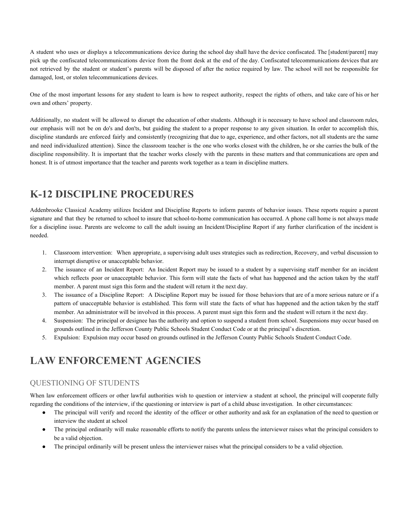A student who uses or displays a telecommunications device during the school day shall have the device confiscated. The [student/parent] may pick up the confiscated telecommunications device from the front desk at the end of the day. Confiscated telecommunications devices that are not retrieved by the student or student's parents will be disposed of after the notice required by law. The school will not be responsible for damaged, lost, or stolen telecommunications devices.

One of the most important lessons for any student to learn is how to respect authority, respect the rights of others, and take care of his or her own and others' property.

Additionally, no student will be allowed to disrupt the education of other students. Although it is necessary to have school and classroom rules, our emphasis will not be on do's and don'ts, but guiding the student to a proper response to any given situation. In order to accomplish this, discipline standards are enforced fairly and consistently (recognizing that due to age, experience, and other factors, not all students are the same and need individualized attention). Since the classroom teacher is the one who works closest with the children, he or she carries the bulk of the discipline responsibility. It is important that the teacher works closely with the parents in these matters and that communications are open and honest. It is of utmost importance that the teacher and parents work together as a team in discipline matters.

## **K-12 DISCIPLINE PROCEDURES**

Addenbrooke Classical Academy utilizes Incident and Discipline Reports to inform parents of behavior issues. These reports require a parent signature and that they be returned to school to insure that school-to-home communication has occurred. A phone call home is not always made for a discipline issue. Parents are welcome to call the adult issuing an Incident/Discipline Report if any further clarification of the incident is needed.

- 1. Classroom intervention: When appropriate, a supervising adult uses strategies such as redirection, Recovery, and verbal discussion to interrupt disruptive or unacceptable behavior.
- 2. The issuance of an Incident Report: An Incident Report may be issued to a student by a supervising staff member for an incident which reflects poor or unacceptable behavior. This form will state the facts of what has happened and the action taken by the staff member. A parent must sign this form and the student will return it the next day.
- 3. The issuance of a Discipline Report: A Discipline Report may be issued for those behaviors that are of a more serious nature or if a pattern of unacceptable behavior is established. This form will state the facts of what has happened and the action taken by the staff member. An administrator will be involved in this process. A parent must sign this form and the student will return it the next day.
- 4. Suspension: The principal or designee has the authority and option to suspend a student from school. Suspensions may occur based on grounds outlined in the Jefferson County Public Schools Student Conduct Code or at the principal's discretion.
- 5. Expulsion: Expulsion may occur based on grounds outlined in the Jefferson County Public Schools Student Conduct Code.

## **LAW ENFORCEMENT AGENCIES**

#### QUESTIONING OF STUDENTS

When law enforcement officers or other lawful authorities wish to question or interview a student at school, the principal will cooperate fully regarding the conditions of the interview, if the questioning or interview is part of a child abuse investigation. In other circumstances:

- The principal will verify and record the identity of the officer or other authority and ask for an explanation of the need to question or interview the student at school
- The principal ordinarily will make reasonable efforts to notify the parents unless the interviewer raises what the principal considers to be a valid objection.
- The principal ordinarily will be present unless the interviewer raises what the principal considers to be a valid objection.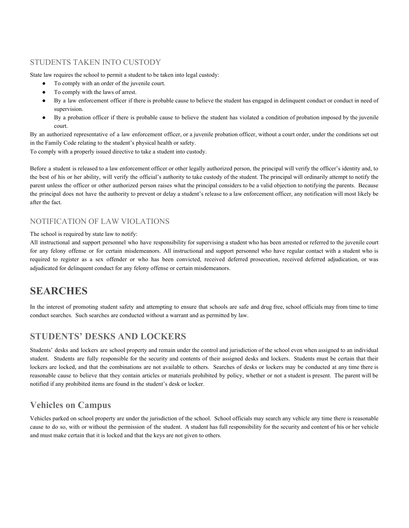#### STUDENTS TAKEN INTO CUSTODY

State law requires the school to permit a student to be taken into legal custody:

- To comply with an order of the juvenile court.
- To comply with the laws of arrest.
- By a law enforcement officer if there is probable cause to believe the student has engaged in delinquent conduct or conduct in need of supervision.
- By a probation officer if there is probable cause to believe the student has violated a condition of probation imposed by the juvenile court.

By an authorized representative of a law enforcement officer, or a juvenile probation officer, without a court order, under the conditions set out in the Family Code relating to the student's physical health or safety.

To comply with a properly issued directive to take a student into custody.

Before a student is released to a law enforcement officer or other legally authorized person, the principal will verify the officer's identity and, to the best of his or her ability, will verify the official's authority to take custody of the student. The principal will ordinarily attempt to notify the parent unless the officer or other authorized person raises what the principal considers to be a valid objection to notifying the parents. Because the principal does not have the authority to prevent or delay a student's release to a law enforcement officer, any notification will most likely be after the fact.

#### NOTIFICATION OF LAW VIOLATIONS

The school is required by state law to notify:

All instructional and support personnel who have responsibility for supervising a student who has been arrested or referred to the juvenile court for any felony offense or for certain misdemeanors. All instructional and support personnel who have regular contact with a student who is required to register as a sex offender or who has been convicted, received deferred prosecution, received deferred adjudication, or was adjudicated for delinquent conduct for any felony offense or certain misdemeanors.

### **SEARCHES**

In the interest of promoting student safety and attempting to ensure that schools are safe and drug free, school officials may from time to time conduct searches. Such searches are conducted without a warrant and as permitted by law.

#### **STUDENTS' DESKS AND LOCKERS**

Students' desks and lockers are school property and remain under the control and jurisdiction of the school even when assigned to an individual student. Students are fully responsible for the security and contents of their assigned desks and lockers. Students must be certain that their lockers are locked, and that the combinations are not available to others. Searches of desks or lockers may be conducted at any time there is reasonable cause to believe that they contain articles or materials prohibited by policy, whether or not a student is present. The parent will be notified if any prohibited items are found in the student's desk or locker.

#### **Vehicles on Campus**

Vehicles parked on school property are under the jurisdiction of the school. School officials may search any vehicle any time there is reasonable cause to do so, with or without the permission of the student. A student has full responsibility for the security and content of his or her vehicle and must make certain that it is locked and that the keys are not given to others.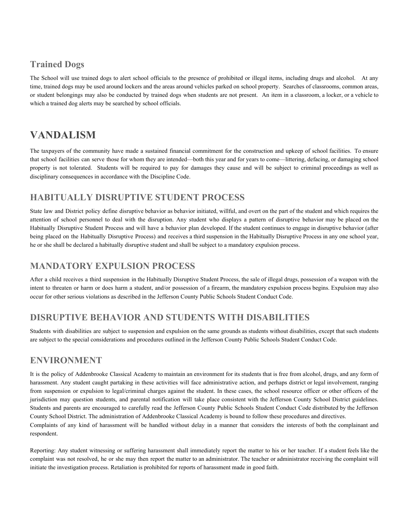#### **Trained Dogs**

The School will use trained dogs to alert school officials to the presence of prohibited or illegal items, including drugs and alcohol. At any time, trained dogs may be used around lockers and the areas around vehicles parked on school property. Searches of classrooms, common areas, or student belongings may also be conducted by trained dogs when students are not present. An item in a classroom, a locker, or a vehicle to which a trained dog alerts may be searched by school officials.

## **VANDALISM**

The taxpayers of the community have made a sustained financial commitment for the construction and upkeep of school facilities. To ensure that school facilities can serve those for whom they are intended—both this year and for years to come—littering, defacing, or damaging school property is not tolerated. Students will be required to pay for damages they cause and will be subject to criminal proceedings as well as disciplinary consequences in accordance with the Discipline Code.

#### **HABITUALLY DISRUPTIVE STUDENT PROCESS**

State law and District policy define disruptive behavior as behavior initiated, willful, and overt on the part of the student and which requires the attention of school personnel to deal with the disruption. Any student who displays a pattern of disruptive behavior may be placed on the Habitually Disruptive Student Process and will have a behavior plan developed. If the student continues to engage in disruptive behavior (after being placed on the Habitually Disruptive Process) and receives a third suspension in the Habitually Disruptive Process in any one school year, he or she shall be declared a habitually disruptive student and shall be subject to a mandatory expulsion process.

#### **MANDATORY EXPULSION PROCESS**

After a child receives a third suspension in the Habitually Disruptive Student Process, the sale of illegal drugs, possession of a weapon with the intent to threaten or harm or does harm a student, and/or possession of a firearm, the mandatory expulsion process begins. Expulsion may also occur for other serious violations as described in the Jefferson County Public Schools Student Conduct Code.

#### **DISRUPTIVE BEHAVIOR AND STUDENTS WITH DISABILITIES**

Students with disabilities are subject to suspension and expulsion on the same grounds as students without disabilities, except that such students are subject to the special considerations and procedures outlined in the Jefferson County Public Schools Student Conduct Code.

#### **ENVIRONMENT**

It is the policy of Addenbrooke Classical Academy to maintain an environment for its students that is free from alcohol, drugs, and any form of harassment. Any student caught partaking in these activities will face administrative action, and perhaps district or legal involvement, ranging from suspension or expulsion to legal/criminal charges against the student. In these cases, the school resource officer or other officers of the jurisdiction may question students, and parental notification will take place consistent with the Jefferson County School District guidelines. Students and parents are encouraged to carefully read the Jefferson County Public Schools Student Conduct Code distributed by the Jefferson County School District. The administration of Addenbrooke Classical Academy is bound to follow these procedures and directives. Complaints of any kind of harassment will be handled without delay in a manner that considers the interests of both the complainant and respondent.

Reporting: Any student witnessing or suffering harassment shall immediately report the matter to his or her teacher. If a student feels like the complaint was not resolved, he or she may then report the matter to an administrator. The teacher or administrator receiving the complaint will initiate the investigation process. Retaliation is prohibited for reports of harassment made in good faith.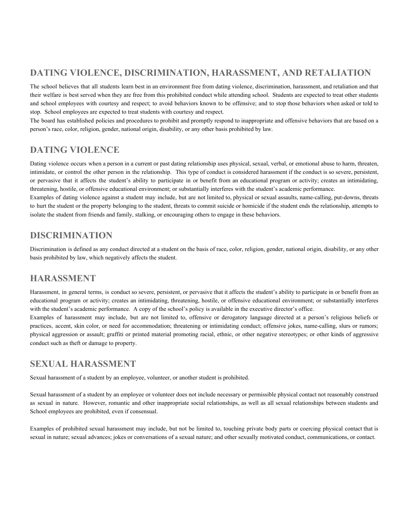### **DATING VIOLENCE, DISCRIMINATION, HARASSMENT, AND RETALIATION**

The school believes that all students learn best in an environment free from dating violence, discrimination, harassment, and retaliation and that their welfare is best served when they are free from this prohibited conduct while attending school. Students are expected to treat other students and school employees with courtesy and respect; to avoid behaviors known to be offensive; and to stop those behaviors when asked or told to stop. School employees are expected to treat students with courtesy and respect.

The board has established policies and procedures to prohibit and promptly respond to inappropriate and offensive behaviors that are based on a person's race, color, religion, gender, national origin, disability, or any other basis prohibited by law.

#### **DATING VIOLENCE**

Dating violence occurs when a person in a current or past dating relationship uses physical, sexual, verbal, or emotional abuse to harm, threaten, intimidate, or control the other person in the relationship. This type of conduct is considered harassment if the conduct is so severe, persistent, or pervasive that it affects the student's ability to participate in or benefit from an educational program or activity; creates an intimidating, threatening, hostile, or offensive educational environment; or substantially interferes with the student's academic performance.

Examples of dating violence against a student may include, but are not limited to, physical or sexual assaults, name-calling, put-downs, threats to hurt the student or the property belonging to the student, threats to commit suicide or homicide if the student ends the relationship, attempts to isolate the student from friends and family, stalking, or encouraging others to engage in these behaviors.

#### **DISCRIMINATION**

Discrimination is defined as any conduct directed at a student on the basis of race, color, religion, gender, national origin, disability, or any other basis prohibited by law, which negatively affects the student.

#### **HARASSMENT**

Harassment, in general terms, is conduct so severe, persistent, or pervasive that it affects the student's ability to participate in or benefit from an educational program or activity; creates an intimidating, threatening, hostile, or offensive educational environment; or substantially interferes with the student's academic performance. A copy of the school's policy is available in the executive director's office.

Examples of harassment may include, but are not limited to, offensive or derogatory language directed at a person's religious beliefs or practices, accent, skin color, or need for accommodation; threatening or intimidating conduct; offensive jokes, name-calling, slurs or rumors; physical aggression or assault; graffiti or printed material promoting racial, ethnic, or other negative stereotypes; or other kinds of aggressive conduct such as theft or damage to property.

#### **SEXUAL HARASSMENT**

Sexual harassment of a student by an employee, volunteer, or another student is prohibited.

Sexual harassment of a student by an employee or volunteer does not include necessary or permissible physical contact not reasonably construed as sexual in nature. However, romantic and other inappropriate social relationships, as well as all sexual relationships between students and School employees are prohibited, even if consensual.

Examples of prohibited sexual harassment may include, but not be limited to, touching private body parts or coercing physical contact that is sexual in nature; sexual advances; jokes or conversations of a sexual nature; and other sexually motivated conduct, communications, or contact.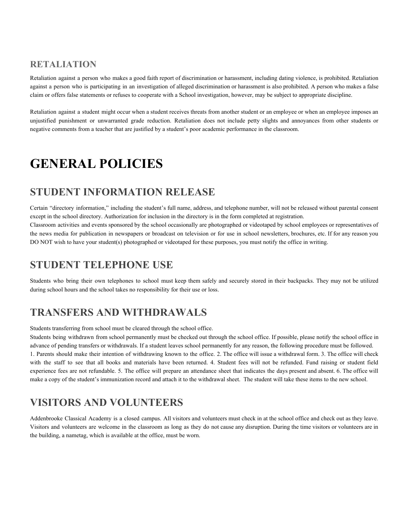#### **RETALIATION**

Retaliation against a person who makes a good faith report of discrimination or harassment, including dating violence, is prohibited. Retaliation against a person who is participating in an investigation of alleged discrimination or harassment is also prohibited. A person who makes a false claim or offers false statements or refuses to cooperate with a School investigation, however, may be subject to appropriate discipline.

Retaliation against a student might occur when a student receives threats from another student or an employee or when an employee imposes an unjustified punishment or unwarranted grade reduction. Retaliation does not include petty slights and annoyances from other students or negative comments from a teacher that are justified by a student's poor academic performance in the classroom.

## **GENERAL POLICIES**

## **STUDENT INFORMATION RELEASE**

Certain "directory information," including the student's full name, address, and telephone number, will not be released without parental consent except in the school directory. Authorization for inclusion in the directory is in the form completed at registration. Classroom activities and events sponsored by the school occasionally are photographed or videotaped by school employees or representatives of the news media for publication in newspapers or broadcast on television or for use in school newsletters, brochures, etc. If for any reason you DO NOT wish to have your student(s) photographed or videotaped for these purposes, you must notify the office in writing.

## **STUDENT TELEPHONE USE**

Students who bring their own telephones to school must keep them safely and securely stored in their backpacks. They may not be utilized during school hours and the school takes no responsibility for their use or loss.

## **TRANSFERS AND WITHDRAWALS**

Students transferring from school must be cleared through the school office.

Students being withdrawn from school permanently must be checked out through the school office. If possible, please notify the school office in advance of pending transfers or withdrawals. If a student leaves school permanently for any reason, the following procedure must be followed. 1. Parents should make their intention of withdrawing known to the office. 2. The office will issue a withdrawal form. 3. The office will check with the staff to see that all books and materials have been returned. 4. Student fees will not be refunded. Fund raising or student field experience fees are not refundable. 5. The office will prepare an attendance sheet that indicates the days present and absent. 6. The office will make a copy of the student's immunization record and attach it to the withdrawal sheet. The student will take these items to the new school.

## **VISITORS AND VOLUNTEERS**

Addenbrooke Classical Academy is a closed campus. All visitors and volunteers must check in at the school office and check out as they leave. Visitors and volunteers are welcome in the classroom as long as they do not cause any disruption. During the time visitors or volunteers are in the building, a nametag, which is available at the office, must be worn.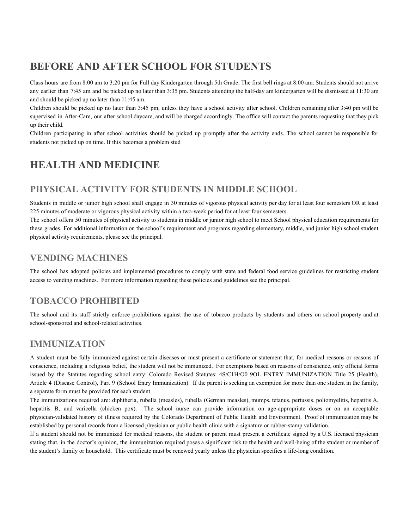## **BEFORE AND AFTER SCHOOL FOR STUDENTS**

Class hours are from 8:00 am to 3:20 pm for Full day Kindergarten through 5th Grade. The first bell rings at 8:00 am. Students should not arrive any earlier than 7:45 am and be picked up no later than 3:35 pm. Students attending the half-day am kindergarten will be dismissed at 11:30 am and should be picked up no later than 11:45 am.

Children should be picked up no later than 3:45 pm, unless they have a school activity after school. Children remaining after 3:40 pm will be supervised in After-Care, our after school daycare, and will be charged accordingly. The office will contact the parents requesting that they pick up their child.

Children participating in after school activities should be picked up promptly after the activity ends. The school cannot be responsible for students not picked up on time. If this becomes a problem stud

## **HEALTH AND MEDICINE**

#### **PHYSICAL ACTIVITY FOR STUDENTS IN MIDDLE SCHOOL**

Students in middle or junior high school shall engage in 30 minutes of vigorous physical activity per day for at least four semesters OR at least 225 minutes of moderate or vigorous physical activity within a two-week period for at least four semesters.

The school offers 50 minutes of physical activity to students in middle or junior high school to meet School physical education requirements for these grades. For additional information on the school's requirement and programs regarding elementary, middle, and junior high school student physical activity requirements, please see the principal.

#### **VENDING MACHINES**

The school has adopted policies and implemented procedures to comply with state and federal food service guidelines for restricting student access to vending machines. For more information regarding these policies and guidelines see the principal.

#### **TOBACCO PROHIBITED**

The school and its staff strictly enforce prohibitions against the use of tobacco products by students and others on school property and at school-sponsored and school-related activities.

#### **IMMUNIZATION**

A student must be fully immunized against certain diseases or must present a certificate or statement that, for medical reasons or reasons of conscience, including a religious belief, the student will not be immunized. For exemptions based on reasons of conscience, only official forms issued by the Statutes regarding school entry: Colorado Revised Statutes: 4S/C1H/O0 9OL ENTRY IMMUNIZATION Title 25 (Health), Article 4 (Disease Control), Part 9 (School Entry Immunization). If the parent is seeking an exemption for more than one student in the family, a separate form must be provided for each student.

The immunizations required are: diphtheria, rubella (measles), rubella (German measles), mumps, tetanus, pertussis, poliomyelitis, hepatitis A, hepatitis B, and varicella (chicken pox). The school nurse can provide information on age-appropriate doses or on an acceptable physician-validated history of illness required by the Colorado Department of Public Health and Environment. Proof of immunization may be established by personal records from a licensed physician or public health clinic with a signature or rubber-stamp validation.

If a student should not be immunized for medical reasons, the student or parent must present a certificate signed by a U.S. licensed physician stating that, in the doctor's opinion, the immunization required poses a significant risk to the health and well-being of the student or member of the student's family or household. This certificate must be renewed yearly unless the physician specifies a life-long condition.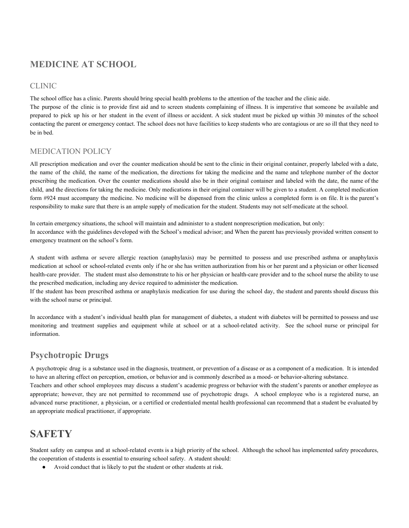#### **MEDICINE AT SCHOOL**

#### CLINIC

The school office has a clinic. Parents should bring special health problems to the attention of the teacher and the clinic aide.

The purpose of the clinic is to provide first aid and to screen students complaining of illness. It is imperative that someone be available and prepared to pick up his or her student in the event of illness or accident. A sick student must be picked up within 30 minutes of the school contacting the parent or emergency contact. The school does not have facilities to keep students who are contagious or are so ill that they need to be in bed.

#### MEDICATION POLICY

All prescription medication and over the counter medication should be sent to the clinic in their original container, properly labeled with a date, the name of the child, the name of the medication, the directions for taking the medicine and the name and telephone number of the doctor prescribing the medication. Over the counter medications should also be in their original container and labeled with the date, the name of the child, and the directions for taking the medicine. Only medications in their original container will be given to a student. A completed medication form #924 must accompany the medicine. No medicine will be dispensed from the clinic unless a completed form is on file. It is the parent's responsibility to make sure that there is an ample supply of medication for the student. Students may not self-medicate at the school.

In certain emergency situations, the school will maintain and administer to a student nonprescription medication, but only: In accordance with the guidelines developed with the School's medical advisor; and When the parent has previously provided written consent to emergency treatment on the school's form.

A student with asthma or severe allergic reaction (anaphylaxis) may be permitted to possess and use prescribed asthma or anaphylaxis medication at school or school-related events only if he or she has written authorization from his or her parent and a physician or other licensed health-care provider. The student must also demonstrate to his or her physician or health-care provider and to the school nurse the ability to use the prescribed medication, including any device required to administer the medication.

If the student has been prescribed asthma or anaphylaxis medication for use during the school day, the student and parents should discuss this with the school nurse or principal.

In accordance with a student's individual health plan for management of diabetes, a student with diabetes will be permitted to possess and use monitoring and treatment supplies and equipment while at school or at a school-related activity. See the school nurse or principal for information.

### **Psychotropic Drugs**

A psychotropic drug is a substance used in the diagnosis, treatment, or prevention of a disease or as a component of a medication. It is intended to have an altering effect on perception, emotion, or behavior and is commonly described as a mood- or behavior-altering substance. Teachers and other school employees may discuss a student's academic progress or behavior with the student's parents or another employee as appropriate; however, they are not permitted to recommend use of psychotropic drugs. A school employee who is a registered nurse, an advanced nurse practitioner, a physician, or a certified or credentialed mental health professional can recommend that a student be evaluated by an appropriate medical practitioner, if appropriate.

## **SAFETY**

Student safety on campus and at school-related events is a high priority of the school. Although the school has implemented safety procedures, the cooperation of students is essential to ensuring school safety. A student should:

Avoid conduct that is likely to put the student or other students at risk.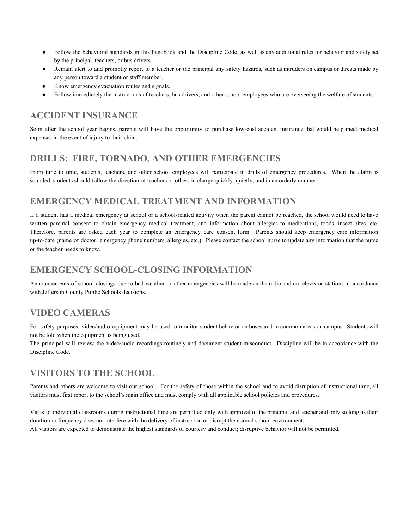- Follow the behavioral standards in this handbook and the Discipline Code, as well as any additional rules for behavior and safety set by the principal, teachers, or bus drivers.
- Remain alert to and promptly report to a teacher or the principal any safety hazards, such as intruders on campus or threats made by any person toward a student or staff member.
- Know emergency evacuation routes and signals.
- Follow immediately the instructions of teachers, bus drivers, and other school employees who are overseeing the welfare of students.

#### **ACCIDENT INSURANCE**

Soon after the school year begins, parents will have the opportunity to purchase low-cost accident insurance that would help meet medical expenses in the event of injury to their child.

#### **DRILLS: FIRE, TORNADO, AND OTHER EMERGENCIES**

From time to time, students, teachers, and other school employees will participate in drills of emergency procedures. When the alarm is sounded, students should follow the direction of teachers or others in charge quickly, quietly, and in an orderly manner.

#### **EMERGENCY MEDICAL TREATMENT AND INFORMATION**

If a student has a medical emergency at school or a school-related activity when the parent cannot be reached, the school would need to have written parental consent to obtain emergency medical treatment, and information about allergies to medications, foods, insect bites, etc. Therefore, parents are asked each year to complete an emergency care consent form. Parents should keep emergency care information up-to-date (name of doctor, emergency phone numbers, allergies, etc.). Please contact the school nurse to update any information that the nurse or the teacher needs to know.

#### **EMERGENCY SCHOOL-CLOSING INFORMATION**

Announcements of school closings due to bad weather or other emergencies will be made on the radio and on television stations in accordance with Jefferson County Public Schools decisions.

#### **VIDEO CAMERAS**

For safety purposes, video/audio equipment may be used to monitor student behavior on buses and in common areas on campus. Students will not be told when the equipment is being used.

The principal will review the video/audio recordings routinely and document student misconduct. Discipline will be in accordance with the Discipline Code.

#### **VISITORS TO THE SCHOOL**

Parents and others are welcome to visit our school. For the safety of those within the school and to avoid disruption of instructional time, all visitors must first report to the school's main office and must comply with all applicable school policies and procedures.

Visits to individual classrooms during instructional time are permitted only with approval of the principal and teacher and only so long as their duration or frequency does not interfere with the delivery of instruction or disrupt the normal school environment. All visitors are expected to demonstrate the highest standards of courtesy and conduct; disruptive behavior will not be permitted.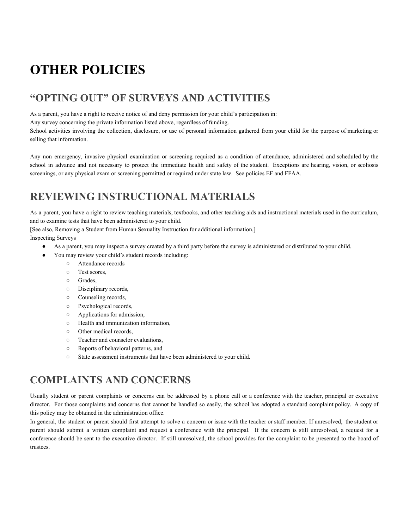## **OTHER POLICIES**

## **"OPTING OUT" OF SURVEYS AND ACTIVITIES**

As a parent, you have a right to receive notice of and deny permission for your child's participation in:

Any survey concerning the private information listed above, regardless of funding.

School activities involving the collection, disclosure, or use of personal information gathered from your child for the purpose of marketing or selling that information.

Any non emergency, invasive physical examination or screening required as a condition of attendance, administered and scheduled by the school in advance and not necessary to protect the immediate health and safety of the student. Exceptions are hearing, vision, or scoliosis screenings, or any physical exam or screening permitted or required under state law. See policies EF and FFAA.

## **REVIEWING INSTRUCTIONAL MATERIALS**

As a parent, you have a right to review teaching materials, textbooks, and other teaching aids and instructional materials used in the curriculum, and to examine tests that have been administered to your child.

[See also, Removing a Student from Human Sexuality Instruction for additional information.]

Inspecting Surveys

- As a parent, you may inspect a survey created by a third party before the survey is administered or distributed to your child.
- You may review your child's student records including:
	- Attendance records
	- Test scores,
	- Grades,
	- Disciplinary records,
	- Counseling records,
	- Psychological records,
	- Applications for admission,
	- Health and immunization information,
	- Other medical records,
	- Teacher and counselor evaluations,
	- Reports of behavioral patterns, and
	- State assessment instruments that have been administered to your child.

## **COMPLAINTS AND CONCERNS**

Usually student or parent complaints or concerns can be addressed by a phone call or a conference with the teacher, principal or executive director. For those complaints and concerns that cannot be handled so easily, the school has adopted a standard complaint policy. A copy of this policy may be obtained in the administration office.

In general, the student or parent should first attempt to solve a concern or issue with the teacher or staff member. If unresolved, the student or parent should submit a written complaint and request a conference with the principal. If the concern is still unresolved, a request for a conference should be sent to the executive director. If still unresolved, the school provides for the complaint to be presented to the board of trustees.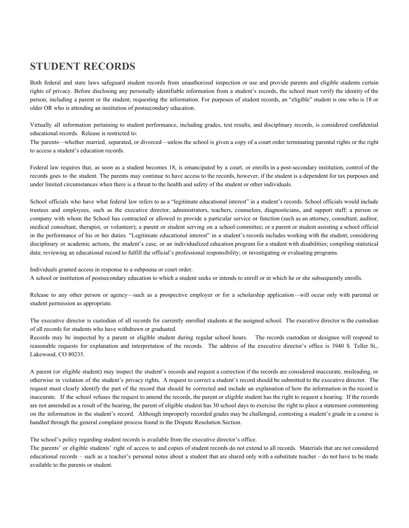## **STUDENT RECORDS**

Both federal and state laws safeguard student records from unauthorized inspection or use and provide parents and eligible students certain rights of privacy. Before disclosing any personally identifiable information from a student's records, the school must verify the identity of the person, including a parent or the student, requesting the information. For purposes of student records, an "eligible" student is one who is 18 or older OR who is attending an institution of postsecondary education.

Virtually all information pertaining to student performance, including grades, test results, and disciplinary records, is considered confidential educational records. Release is restricted to:

The parents—whether married, separated, or divorced—unless the school is given a copy of a court order terminating parental rights or the right to access a student's education records.

Federal law requires that, as soon as a student becomes 18, is emancipated by a court, or enrolls in a post-secondary institution, control of the records goes to the student. The parents may continue to have access to the records, however, if the student is a dependent for tax purposes and under limited circumstances when there is a threat to the health and safety of the student or other individuals.

School officials who have what federal law refers to as a "legitimate educational interest" in a student's records. School officials would include trustees and employees, such as the executive director, administrators, teachers, counselors, diagnosticians, and support staff; a person or company with whom the School has contracted or allowed to provide a particular service or function (such as an attorney, consultant, auditor, medical consultant, therapist, or volunteer); a parent or student serving on a school committee; or a parent or student assisting a school official in the performance of his or her duties. "Legitimate educational interest" in a student's records includes working with the student; considering disciplinary or academic actions, the student's case, or an individualized education program for a student with disabilities; compiling statistical data; reviewing an educational record to fulfill the official's professional responsibility; or investigating or evaluating programs.

Individuals granted access in response to a subpoena or court order.

A school or institution of postsecondary education to which a student seeks or intends to enroll or in which he or she subsequently enrolls.

Release to any other person or agency—such as a prospective employer or for a scholarship application—will occur only with parental or student permission as appropriate.

The executive director is custodian of all records for currently enrolled students at the assigned school. The executive director is the custodian of all records for students who have withdrawn or graduated.

Records may be inspected by a parent or eligible student during regular school hours. The records custodian or designee will respond to reasonable requests for explanation and interpretation of the records. The address of the executive director's office is 3940 S. Teller St., Lakewood, CO 80235.

A parent (or eligible student) may inspect the student's records and request a correction if the records are considered inaccurate, misleading, or otherwise in violation of the student's privacy rights. A request to correct a student's record should be submitted to the executive director. The request must clearly identify the part of the record that should be corrected and include an explanation of how the information in the record is inaccurate. If the school refuses the request to amend the records, the parent or eligible student has the right to request a hearing. If the records are not amended as a result of the hearing, the parent of eligible student has 30 school days to exercise the right to place a statement commenting on the information in the student's record. Although improperly recorded grades may be challenged, contesting a student's grade in a course is handled through the general complaint process found in the Dispute Resolution Section.

The school's policy regarding student records is available from the executive director's office.

The parents' or eligible students' right of access to and copies of student records do not extend to all records. Materials that are not considered educational records – such as a teacher's personal notes about a student that are shared only with a substitute teacher – do not have to be made available to the parents or student.